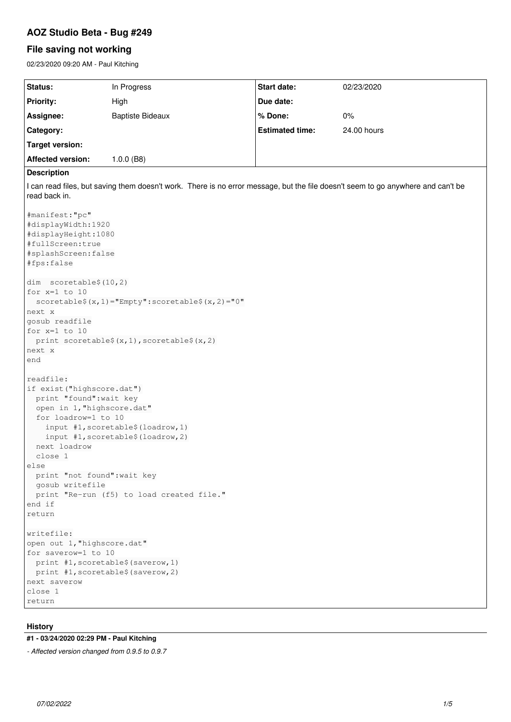# **AOZ Studio Beta - Bug #249**

# **File saving not working**

02/23/2020 09:20 AM - Paul Kitching

| <b>Status:</b>           | In Progress             | <b>Start date:</b>     | 02/23/2020  |
|--------------------------|-------------------------|------------------------|-------------|
| <b>Priority:</b>         | High                    | Due date:              |             |
| Assignee:                | <b>Baptiste Bideaux</b> | % Done:                | $0\%$       |
| Category:                |                         | <b>Estimated time:</b> | 24,00 hours |
| Target version:          |                         |                        |             |
| <b>Affected version:</b> | l.0.0 (B8)              |                        |             |
|                          |                         |                        |             |

# **Description**

I can read files, but saving them doesn't work. There is no error message, but the file doesn't seem to go anywhere and can't be read back in.

```
#manifest:"pc"
#displayWidth:1920
#displayHeight:1080
#fullScreen:true
#splashScreen:false
#fps:false
dim  scoretable$(10,2)
for x=1 to 10
   scoretable$(x,1)="Empty":scoretable$(x,2)="0"
next x
gosub readfile
for x=1 to 10
 print scoretable$(x,1), scoretable$(x,2)
next x
end
readfile:
if exist("highscore.dat")
   print "found":wait key
   open in 1,"highscore.dat"
   for loadrow=1 to 10
        input #1,scoretable$(loadrow,1)
        input #1,scoretable$(loadrow,2)
   next loadrow
   close 1
else
   print "not found":wait key
   gosub writefile
   print "Re-run (f5) to load created file."
end if
return
writefile:
open out 1,"highscore.dat"
for saverow=1 to 10
   print #1,scoretable$(saverow,1)
   print #1,scoretable$(saverow,2)
next saverow
close 1
return
```
# **History**

# **#1 - 03/24/2020 02:29 PM - Paul Kitching**

*- Affected version changed from 0.9.5 to 0.9.7*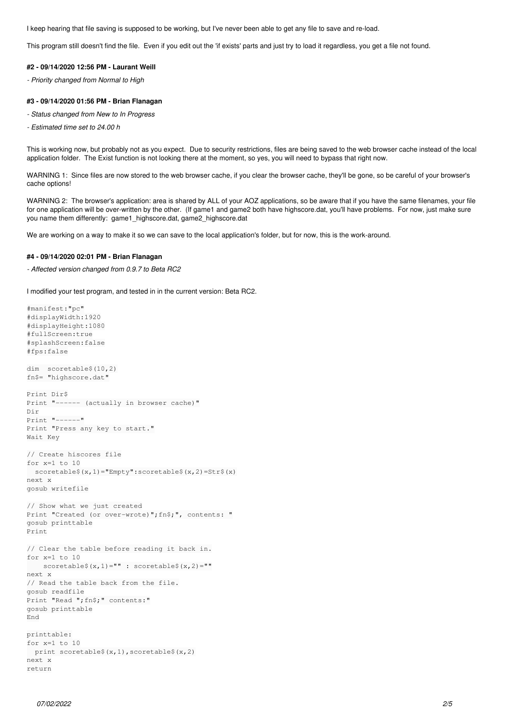I keep hearing that file saving is supposed to be working, but I've never been able to get any file to save and re-load.

This program still doesn't find the file. Even if you edit out the 'if exists' parts and just try to load it regardless, you get a file not found.

#### **#2 - 09/14/2020 12:56 PM - Laurant Weill**

*- Priority changed from Normal to High*

## **#3 - 09/14/2020 01:56 PM - Brian Flanagan**

- *Status changed from New to In Progress*
- *Estimated time set to 24.00 h*

This is working now, but probably not as you expect. Due to security restrictions, files are being saved to the web browser cache instead of the local application folder. The Exist function is not looking there at the moment, so yes, you will need to bypass that right now.

WARNING 1: Since files are now stored to the web browser cache, if you clear the browser cache, they'll be gone, so be careful of your browser's cache options!

WARNING 2: The browser's application: area is shared by ALL of your AOZ applications, so be aware that if you have the same filenames, your file for one application will be over-written by the other. (If game1 and game2 both have highscore.dat, you'll have problems. For now, just make sure you name them differently: game1\_highscore.dat, game2\_highscore.dat

We are working on a way to make it so we can save to the local application's folder, but for now, this is the work-around.

### **#4 - 09/14/2020 02:01 PM - Brian Flanagan**

*- Affected version changed from 0.9.7 to Beta RC2*

I modified your test program, and tested in in the current version: Beta RC2.

```
#manifest:"pc"
#displayWidth:1920
#displayHeight:1080
#fullScreen:true
#splashScreen:false
#fps:false
dim  scoretable$(10,2)
fn$= "highscore.dat"
Print Dir$
Print "------ (actually in browser cache)"
Dir
Print "------"
Print "Press any key to start."
Wait Key
// Create hiscores file
for x=1 to 10
   scoretable$(x,1)="Empty":scoretable$(x,2)=Str$(x)
next x
gosub writefile
// Show what we just created
Print "Created (or over-wrote)";fn$;", contents: "
gosub printtable
Print
// Clear the table before reading it back in.
for x=1 to 10
   scoretable$(x, 1)="" : scoretable$(x, 2)=""
next x
// Read the table back from the file.
gosub readfile
Print "Read ";fn$;" contents:"
gosub printtable
End
printtable:
for x=1 to 10
 print scoretable$(x,1), scoretable$(x,2)
next x
return
```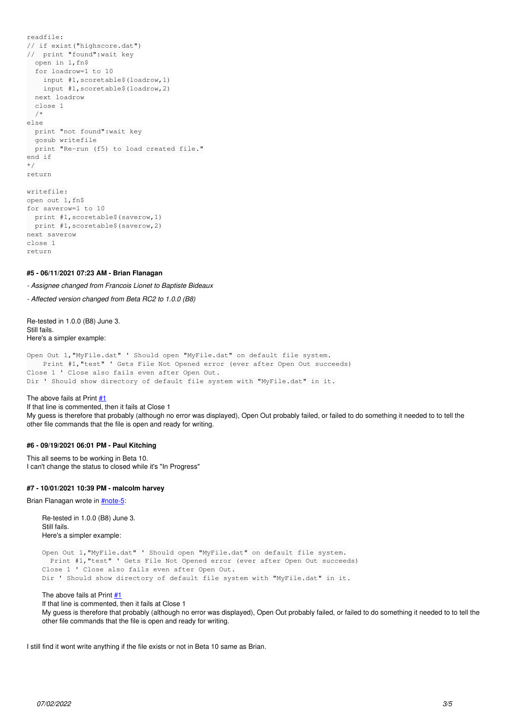```
readfile:
// if exist("highscore.dat")
//  print "found":wait key
    open in 1,fn$
    for loadrow=1 to 10
       input #1,scoretable$(loadrow,1)
        input #1,scoretable$(loadrow,2)
    next loadrow
    close 1
    /*
else
    print "not found":wait key
    gosub writefile
    print "Re-run (f5) to load created file."
end if
*/
return
writefile:
open out 1,fn$
for saverow=1 to 10
   print #1,scoretable$(saverow,1)
    print #1,scoretable$(saverow,2)
next saverow
close 1
return
```
#### **#5 - 06/11/2021 07:23 AM - Brian Flanagan**

*- Assignee changed from Francois Lionet to Baptiste Bideaux*

*- Affected version changed from Beta RC2 to 1.0.0 (B8)*

Re-tested in 1.0.0 (B8) June 3. Still fails. Here's a simpler example:

Open Out 1,"MyFile.dat" ' Should open "MyFile.dat" on default file system. Print #1,"test" ' Gets File Not Opened error (ever after Open Out succeeds) Close 1 ' Close also fails even after Open Out. Dir ' Should show directory of default file system with "MyFile.dat" in it.

The above fails at Print  $#1$ 

If that line is commented, then it fails at Close 1 My guess is therefore that probably (although no error was displayed), Open Out probably failed, or failed to do something it needed to to tell the other file commands that the file is open and ready for writing.

### **#6 - 09/19/2021 06:01 PM - Paul Kitching**

This all seems to be working in Beta 10. I can't change the status to closed while it's "In Progress"

#### **#7 - 10/01/2021 10:39 PM - malcolm harvey**

Brian Flanagan wrote in [#note-5](#page--1-0):

Re-tested in 1.0.0 (B8) June 3. Still fails. Here's a simpler example: Open Out 1,"MyFile.dat" ' Should open "MyFile.dat" on default file system. Print #1,"test" ' Gets File Not Opened error (ever after Open Out succeeds) Close 1 ' Close also fails even after Open Out. Dir ' Should show directory of default file system with "MyFile.dat" in it.

The above fails at Print  $#1$ 

If that line is commented, then it fails at Close 1

My guess is therefore that probably (although no error was displayed), Open Out probably failed, or failed to do something it needed to to tell the other file commands that the file is open and ready for writing.

I still find it wont write anything if the file exists or not in Beta 10 same as Brian.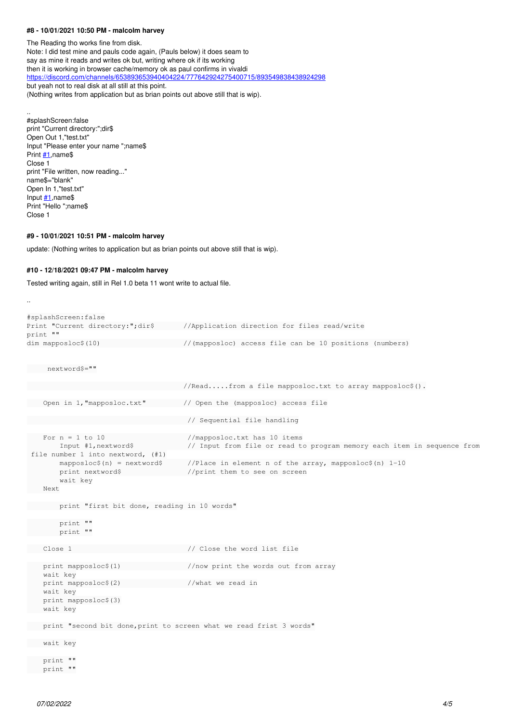#### **#8 - 10/01/2021 10:50 PM - malcolm harvey**

The Reading tho works fine from disk. Note: I did test mine and pauls code again, (Pauls below) it does seam to say as mine it reads and writes ok but, writing where ok if its working then it is working in browser cache/memory ok as paul confirms in vivaldi <https://discord.com/channels/653893653940404224/777642924275400715/893549838438924298> but yeah not to real disk at all still at this point. (Nothing writes from application but as brian points out above still that is wip).

#splashScreen:false print "Current directory:";dir\$ Open Out 1,"test.txt" Input "Please enter your name ";name\$ Print  $#1$ , name\$ Close 1 print "File written, now reading..." name\$="blank" Open In 1,"test.txt" Input  $#1$ , name\$ Print "Hello ";name\$ Close 1

..

#### **#9 - 10/01/2021 10:51 PM - malcolm harvey**

update: (Nothing writes to application but as brian points out above still that is wip).

# **#10 - 12/18/2021 09:47 PM - malcolm harvey**

Tested writing again, still in Rel 1.0 beta 11 wont write to actual file.

```
..
#splashScreen:false
Print "Current directory:";dir$ //Application direction for files read/write
print ""
dim mapposloc$(10) \frac{1}{2} //(mapposloc) access file can be 10 positions (numbers)
     nextword$=""
                                                                              //Read.....from a file mapposloc.txt to array mapposloc$().
       Open in 1,"mapposloc.txt"         // Open the (mapposloc) access file
                                                                                // Sequential file handling
 For n = 1 to 10 //mapposloc.txt has 10 items
               Input #1,nextword$             // Input from file or read to program memory each item in sequence from
  file number 1 into nextword, (#1)
                mapposloc$(n) = nextword$      //Place in element n of the array, mapposloc$(n) 1-10
        print nextword$ //print them to see on screen
                wait key
       Next
        print "first bit done, reading in 10 words"
              print ""
           print ""
     Close 1                            // Close the word list file
   print mapposloc$(1) \qquad //now print the words out from array
        wait key
    print mapposloc$(2) //what we read in
        wait key
        print mapposloc$(3)
       wait key
     print "second bit done,print to screen what we read frist 3 words"
     wait key
       print ""
     print ""
```